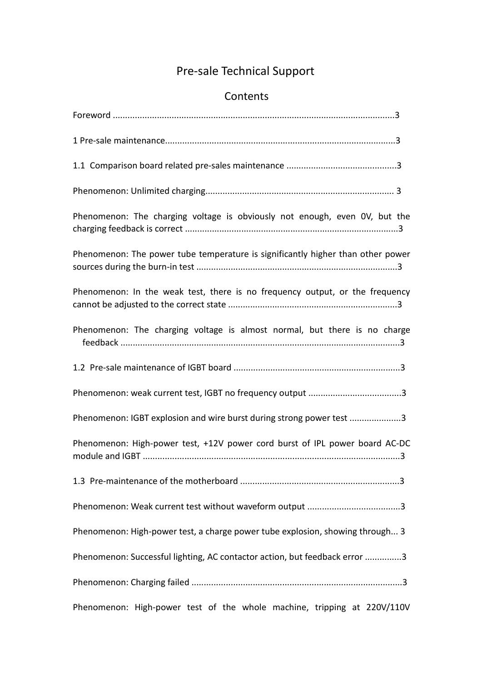# Pre-sale Technical Support

## Contents

| Phenomenon: The charging voltage is obviously not enough, even OV, but the      |  |
|---------------------------------------------------------------------------------|--|
| Phenomenon: The power tube temperature is significantly higher than other power |  |
| Phenomenon: In the weak test, there is no frequency output, or the frequency    |  |
| Phenomenon: The charging voltage is almost normal, but there is no charge       |  |
|                                                                                 |  |
|                                                                                 |  |
| Phenomenon: IGBT explosion and wire burst during strong power test 3            |  |
| Phenomenon: High-power test, +12V power cord burst of IPL power board AC-DC     |  |
|                                                                                 |  |
|                                                                                 |  |
| Phenomenon: High-power test, a charge power tube explosion, showing through 3   |  |
| Phenomenon: Successful lighting, AC contactor action, but feedback error 3      |  |
|                                                                                 |  |
| Phenomenon: High-power test of the whole machine, tripping at 220V/110V         |  |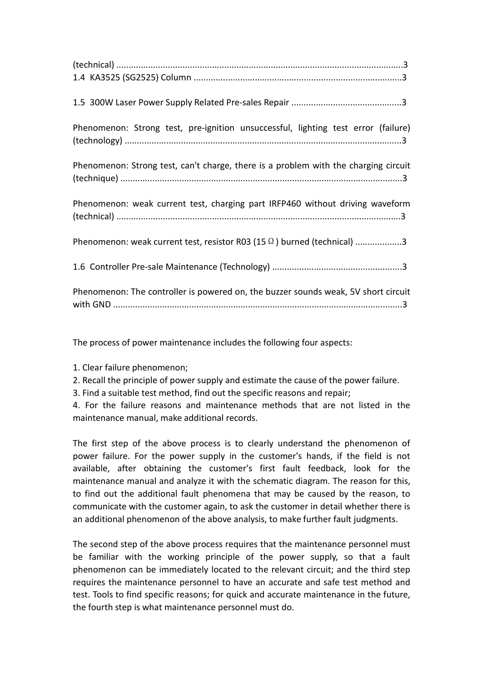| Phenomenon: Strong test, pre-ignition unsuccessful, lighting test error (failure)   |  |
|-------------------------------------------------------------------------------------|--|
| Phenomenon: Strong test, can't charge, there is a problem with the charging circuit |  |
| Phenomenon: weak current test, charging part IRFP460 without driving waveform       |  |
| Phenomenon: weak current test, resistor R03 (15 $\Omega$ ) burned (technical) 3     |  |
|                                                                                     |  |
| Phenomenon: The controller is powered on, the buzzer sounds weak, 5V short circuit  |  |

The process of power maintenance includes the following four aspects:

- 1. Clear failure phenomenon;
- 2. Recall the principle of power supply and estimate the cause of the power failure.
- 3. Find a suitable test method, find out the specific reasons and repair;

4. For the failure reasons and maintenance methods that are not listed in the maintenance manual, make additional records.

The first step of the above process is to clearly understand the phenomenon of power failure. For the power supply in the customer's hands, if the field is not available, after obtaining the customer's first fault feedback, look for the maintenance manual and analyze it with the schematic diagram. The reason for this, to find out the additional fault phenomena that may be caused bythe reason, to communicate with the customer again, to ask the customer in detail whether there is an additional phenomenon of the above analysis, to make further fault judgments.

The second step of the above process requires that the maintenance personnel must be familiar with the working principle of the power supply, so that a fault phenomenon can be immediately located to the relevant circuit; and the third step requires the maintenance personnel to have an accurate and safe test method and test. Tools to find specific reasons; for quick and accurate maintenance in the future, the fourth step is what maintenance personnel must do.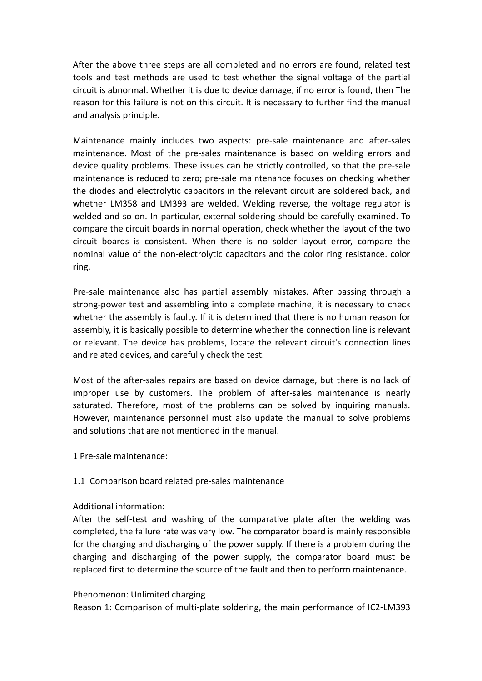After the above three steps are all completed and no errors are found, related test tools and test methods are used to test whether the signal voltage of the partial circuit is abnormal. Whether it is due to device damage, if no error is found, then The reason for this failure is not on this circuit. It is necessary to further find the manual and analysis principle.

Maintenance mainly includes two aspects: pre-sale maintenance and after-sales maintenance. Most of the pre-sales maintenance is based on welding errors and device quality problems. These issues can be strictly controlled, so that the pre-sale maintenance is reduced to zero; pre-sale maintenance focuses on checking whether the diodes and electrolytic capacitors in the relevant circuit are soldered back, and whether LM358 and LM393 are welded. Welding reverse, the voltage regulator is welded and so on. In particular, external soldering should be carefully examined. To compare the circuit boards in normal operation, check whether the layout of the two circuit boards is consistent. When there is no solder layout error, compare the nominal value of the non-electrolytic capacitors and the color ring resistance. color ring.

Pre-sale maintenance also has partial assembly mistakes. After passing through a strong-power test and assembling into a complete machine, it is necessary to check whether the assembly is faulty. If it is determined that there is no human reason for assembly, it is basically possible to determine whether the connection line is relevant or relevant. The device has problems, locate the relevant circuit's connection lines and related devices, and carefully check the test.

Most of the after-sales repairs are based on device damage, but there is no lack of improper use by customers. The problem of after-sales maintenance is nearly saturated. Therefore, most of the problems can be solved by inquiring manuals.<br>However, maintenance personnel must also update the manual to solve problems and solutions that are not mentioned in the manual.

1 Pre-sale maintenance:

### 1.1 Comparison board related pre-sales maintenance

### Additional information:

After the self-test and washing of the comparative plate after the welding was completed, the failure rate was very low. The comparator board is mainly responsible for the charging and discharging of the power supply. If there is a problem during the charging and discharging of the power supply, the comparator board must be replaced first to determine the source of the fault and then to perform maintenance.

#### Phenomenon: Unlimited charging

Reason 1: Comparison of multi-plate soldering, the main performance of IC2-LM393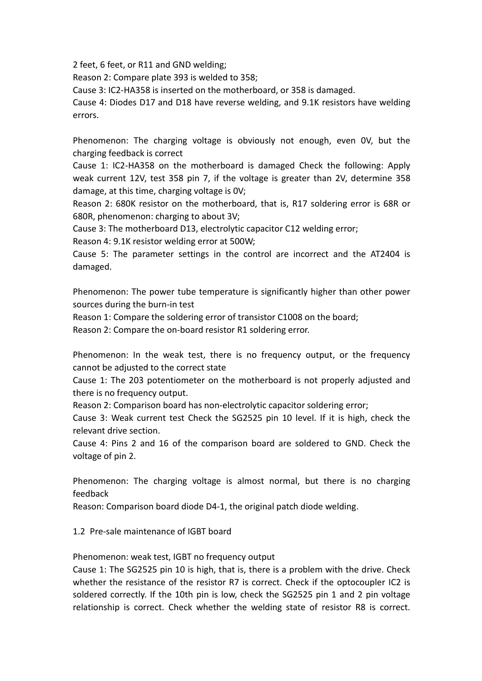2 feet, 6 feet, or R11 and GND welding;

Reason 2: Compare plate 393 is welded to 358;

Cause 3: IC2-HA358 is inserted on the motherboard, or 358 is damaged.

Cause 4: Diodes D17 and D18 have reverse welding, and 9.1K resistors have welding errors.

Phenomenon: The charging voltage is obviously not enough, even 0V, but the charging feedback is correct

Cause 1: IC2-HA358 on the motherboard is damaged Check the following: Apply weak current 12V, test 358 pin 7, if the voltage is greater than 2V, determine 358 damage, at this time, charging voltage is 0V;

Reason 2: 680K resistor on the motherboard, that is, R17 soldering error is 68R or 680R, phenomenon: charging to about 3V;

Cause 3: The motherboard D13, electrolytic capacitor C12 welding error;

Reason 4: 9.1K resistor welding error at 500W;

Cause 5: The parameter settings in the control are incorrect and the AT2404 is damaged.

Phenomenon: The power tube temperature is significantly higher than other power sources during the burn-in test

Reason 1: Compare the soldering error of transistor C1008 on the board;

Reason 2: Compare the on-board resistor R1 soldering error.

Phenomenon: In the weak test, there is no frequency output, or the frequency cannot be adjusted to the correct state

Cause 1: The 203 potentiometer on the motherboard is not properly adjusted and there is no frequency output.

Reason 2: Comparison board has non-electrolytic capacitor soldering error;

Cause 3: Weak current test Check the SG2525 pin 10 level. If it is high, check the relevant drive section.

Cause 4: Pins 2 and 16 of the comparison board are soldered to GND. Check the voltage of pin 2.

Phenomenon: The charging voltage is almost normal, but there is no charging feedback

Reason: Comparison board diode D4-1, the original patch diode welding.

1.2 Pre-sale maintenance of IGBT board

Phenomenon: weak test, IGBT no frequency output

Cause 1: The SG2525 pin 10 is high, that is, there is a problem with the drive. Check whether the resistance of the resistor R7 is correct. Check if the optocoupler IC2 is soldered correctly. If the 10th pin is low, check the SG2525 pin 1 and 2 pin voltage relationship is correct. Check whether the welding state of resistor R8 is correct.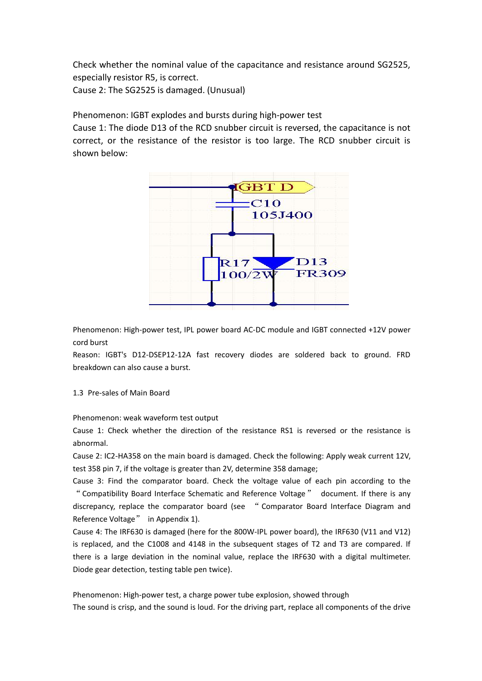Check whether the nominal value of the capacitance and resistance around SG2525, especially resistor R5, is correct.

Cause 2: The SG2525 is damaged. (Unusual)

Phenomenon: IGBT explodes and bursts during high-power test

Cause 1: The diode D13 of the RCD snubber circuit is reversed, the capacitance is not correct, or the resistance of the resistor is too large. The RCD snubber circuit is shown below:



Phenomenon: High-power test, IPL power board AC-DC module and IGBT connected +12V power cord burst

Reason: IGBT's D12-DSEP12-12A fast recovery diodes are soldered back to ground. FRD breakdown can also cause a burst.

1.3 Pre-sales of Main Board

Phenomenon: weak waveform test output

Cause 1: Check whether the direction of the resistance RS1 is reversed or the resistance is abnormal.

Cause 2: IC2-HA358 on the main board is damaged. Check the following: Apply weak current 12V, test 358 pin 7, if the voltage is greater than 2V, determine 358 damage;

Cause 3: Find the comparator board. Check the voltage value of each pin according to the "Compatibility Board Interface Schematic and Reference Voltage" document. If there is any discrepancy, replace the comparator board (see " Comparator Board Interface Diagram and Reference Voltage" in Appendix 1).

Cause 4: The IRF630 is damaged (here for the 800W-IPL power board), the IRF630 (V11 and V12) is replaced, and the C1008 and 4148 in the subsequent stages of T2 and T3 are compared. If there is a large deviation in the nominal value, replace the IRF630 with a digital multimeter. Diode gear detection, testing table pen twice).

Phenomenon: High-power test, a charge power tube explosion, showed through The sound is crisp, and the sound is loud. For the driving part, replace all components of the drive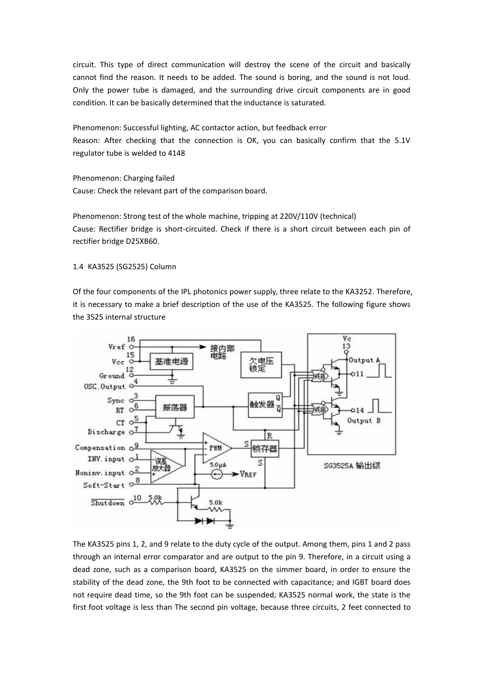circuit. This type of direct communication will destroy the scene of the circuit and basically cannot find the reason. It needs to be added. The sound is boring, and the sound is not loud. Only the power tube is damaged, and the surrounding drive circuit components are in good condition. It can be basically determined that the inductance is saturated.

Phenomenon: Successful lighting, AC contactor action, but feedback error Reason: After checking that the connection is OK, you can basically confirm that the 5.1V regulator tube is welded to 4148

Phenomenon: Charging failed Cause: Check the relevant part of the comparison board.

Phenomenon: Strong test of the whole machine, tripping at 220V/110V (technical) Cause: Rectifier bridge is short-circuited. Check if there is a short circuit between each pin of rectifier bridge D25XB60.

1.4 KA3525 (SG2525) Column

Of the four components of the IPL photonics power supply, three relate to the KA3252. Therefore, it is necessary to make a brief description of the use of the KA3525. The following figure shows the 3525 internal structure



The KA3525 pins 1, 2, and 9 relate to the duty cycle of the output. Among them, pins 1 and 2 pass through an internal error comparator and are output to the pin 9. Therefore, in a circuit using a dead zone, such as a comparison board, KA3525 on the simmer board, in order to ensure the stability of the dead zone, the 9th foot to be connected with capacitance; and IGBT board does not require dead time, so the 9th foot can be suspended; KA3525 normal work, the state is the first foot voltage is less than The second pin voltage, because three circuits, 2 feet connected to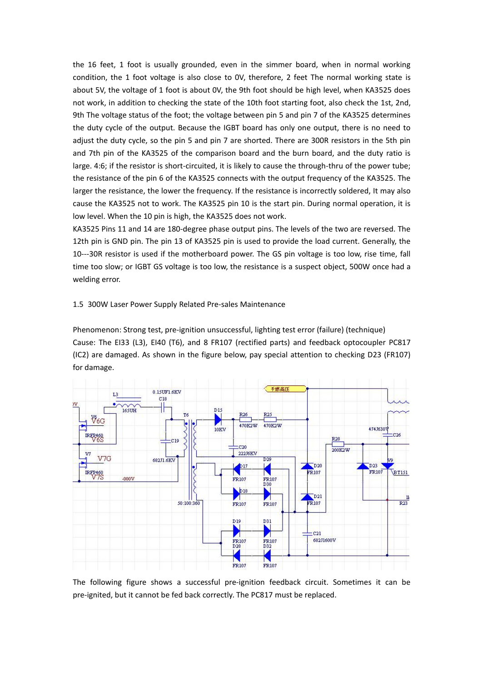the 16 feet, 1 foot is usually grounded, even in the simmer board, when in normal working condition, the 1 foot voltage is also close to OV, therefore, 2 feet The normal working state is about 5V, the voltage of 1 foot is about 0V, the 9th foot should be high level, when KA3525 does not work, in addition to checking the state of the 10th foot starting foot, also check the 1st, 2nd, 9th The voltage status of the foot; the voltage between pin 5 and pin 7 of the KA3525 determines the duty cycle of the output. Because the IGBT board has only one output, there is no need to adjust the duty cycle, so the pin 5 and pin 7 are shorted. There are 300R resistors in the 5th pin and 7th pin of the KA3525 of the comparison board and the burn board, and the duty ratio is large. 4:6; if the resistor is short-circuited, it is likely to cause the through-thru of the power tube; the resistance of the pin 6 of the KA3525 connects with the output frequency of the KA3525. The larger the resistance, the lower the frequency. If the resistance is incorrectly soldered, It may also cause the KA3525 not to work. The KA3525 pin 10 is the start pin. During normal operation, it is low level. When the 10 pin is high, the KA3525 does not work.

KA3525 Pins 11 and 14 are 180-degree phase output pins. The levels of the two are reversed. The 12th pin is GND pin. The pin 13 of KA3525 pin is used to provide the load current. Generally, the 10---30R resistor is used if the motherboard power. The GS pin voltage is too low, rise time, fall time too slow; or IGBT GS voltage is too low, the resistance is a suspect object, 500W once had a welding error.

#### 1.5 300W Laser Power Supply Related Pre-sales Maintenance

Phenomenon: Strong test, pre-ignition unsuccessful, lighting test error (failure) (technique) Cause: The EI33 (L3), EI40 (T6), and 8 FR107 (rectified parts) and feedback optocoupler PC817 (IC2) are damaged. As shown in the figure below, pay special attention to checking D23 (FR107) for damage.



The following figure shows a successful pre-ignition feedback circuit. Sometimes it can be pre-ignited, but it cannot be fed back correctly. The PC817 must be replaced.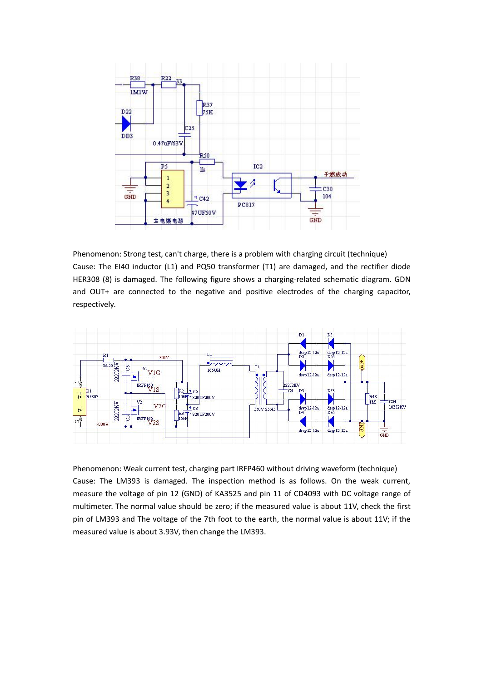

Phenomenon: Strong test, can't charge, there is a problem with charging circuit (technique) Cause: The EI40 inductor (L1) and PQ50 transformer (T1) are damaged, and the rectifier diode HER308 (8) is damaged. The following figure shows a charging-related schematic diagram. GDN and OUT+ are connected to the negative and positive electrodes of the charging capacitor, respectively.



Phenomenon: Weak current test, charging part IRFP460 without driving waveform (technique) Cause: The LM393 is damaged. The inspection method is as follows. On the weak current, measure the voltage of pin 12 (GND) of KA3525 and pin 11 of CD4093 with DC voltage range of multimeter. The normal value should be zero; if the measured value is about 11V, check the first pin of LM393 and The voltage of the 7th foot to the earth, the normal value is about 11V; if the measured value is about 3.93V, then change the LM393.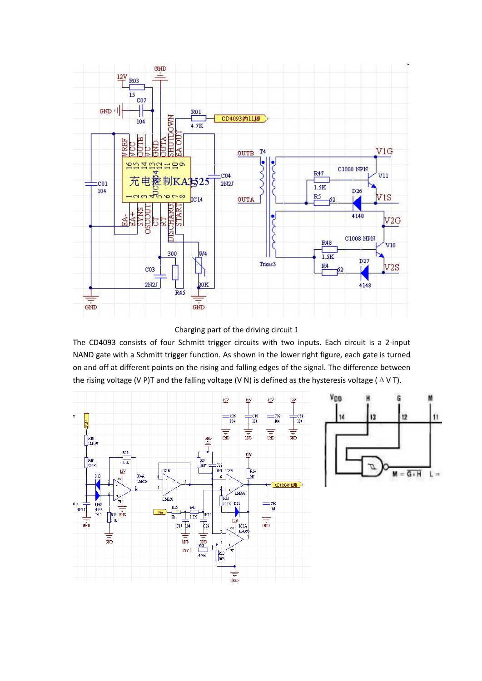

Charging part of the driving circuit 1

The CD4093 consists of four Schmitt trigger circuits with two inputs. Each circuit is a 2-input NAND gate with a Schmitt trigger function. As shown in the lower right figure, each gate is turned on and off at different points on the rising and falling edges of the signal. The difference between the rising voltage (V P)T and the falling voltage (V N) is defined as the hysteresis voltage ( $\Delta$  V T).